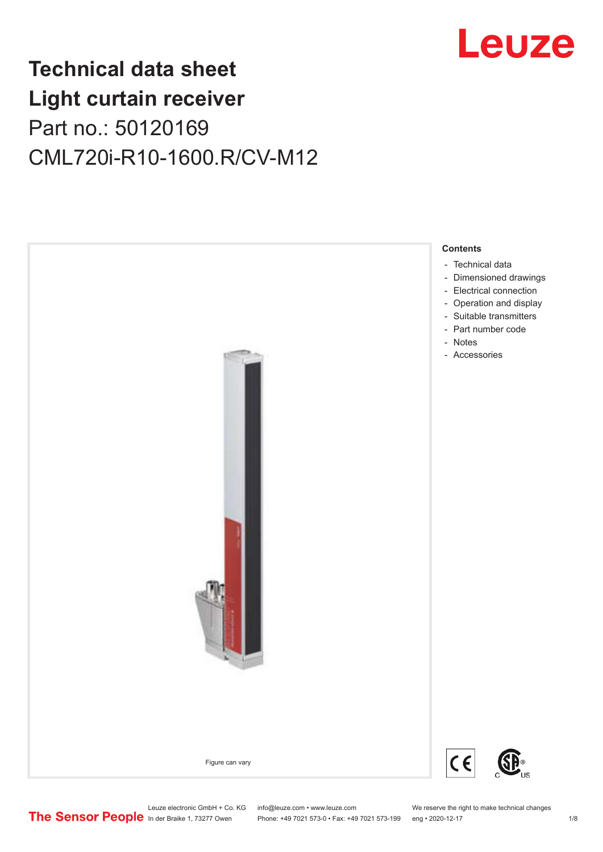

## **Technical data sheet Light curtain receiver** Part no.: 50120169 CML720i-R10-1600.R/CV-M12



Leuze electronic GmbH + Co. KG info@leuze.com • www.leuze.com We reserve the right to make technical changes<br>
The Sensor People in der Braike 1, 73277 Owen Phone: +49 7021 573-0 • Fax: +49 7021 573-199 eng • 2020-12-17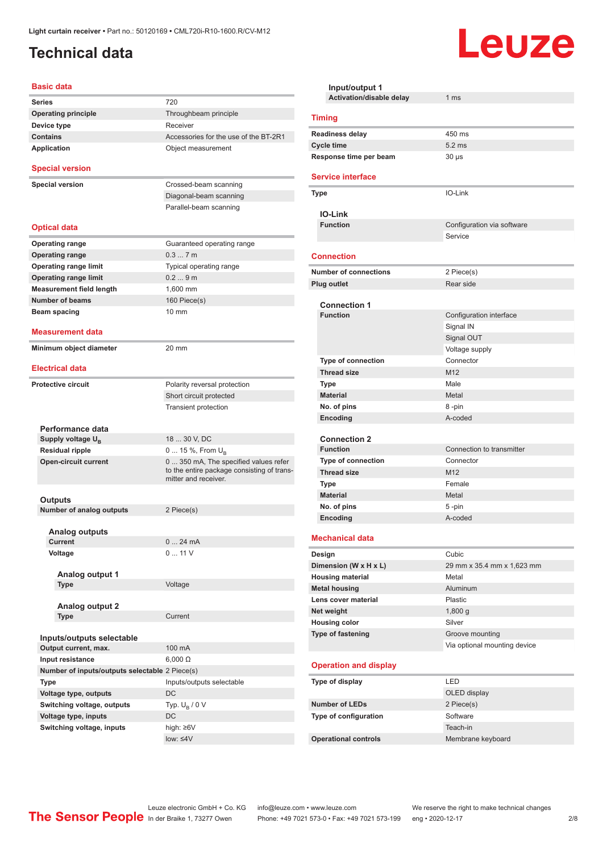## <span id="page-1-0"></span>**Technical data**

#### **Basic data**

| <b>Series</b>                                    | 720                                                                |
|--------------------------------------------------|--------------------------------------------------------------------|
| <b>Operating principle</b>                       | Throughbeam principle                                              |
| Device type                                      | Receiver                                                           |
| <b>Contains</b>                                  | Accessories for the use of the BT-2R1                              |
| <b>Application</b>                               | Object measurement                                                 |
| <b>Special version</b>                           |                                                                    |
| <b>Special version</b>                           | Crossed-beam scanning                                              |
|                                                  | Diagonal-beam scanning                                             |
|                                                  | Parallel-beam scanning                                             |
|                                                  |                                                                    |
| <b>Optical data</b>                              |                                                                    |
| <b>Operating range</b>                           | Guaranteed operating range                                         |
| <b>Operating range</b>                           | 0.37m                                                              |
| <b>Operating range limit</b>                     | Typical operating range                                            |
| <b>Operating range limit</b>                     | 0.29m                                                              |
| <b>Measurement field length</b>                  | 1,600 mm                                                           |
| <b>Number of beams</b>                           | 160 Piece(s)                                                       |
| Beam spacing                                     | $10 \text{ mm}$                                                    |
|                                                  |                                                                    |
| <b>Measurement data</b>                          |                                                                    |
| Minimum object diameter                          | $20 \text{ mm}$                                                    |
|                                                  |                                                                    |
| <b>Electrical data</b>                           |                                                                    |
| <b>Protective circuit</b>                        | Polarity reversal protection                                       |
|                                                  | Short circuit protected                                            |
|                                                  | Transient protection                                               |
|                                                  |                                                                    |
| Performance data                                 | 18  30 V, DC                                                       |
| Supply voltage $U_{B}$<br><b>Residual ripple</b> |                                                                    |
| <b>Open-circuit current</b>                      | 0  15 %, From $U_{\rm B}$<br>0 350 mA, The specified values refer  |
|                                                  | to the entire package consisting of trans-<br>mitter and receiver. |
|                                                  |                                                                    |
| Outputs                                          |                                                                    |
| <b>Number of analog outputs</b>                  | 2 Piece(s)                                                         |
|                                                  |                                                                    |
| <b>Analog outputs</b><br>Current                 | 0<br>24 mA                                                         |
| Voltage                                          | 0  11 V                                                            |
|                                                  |                                                                    |
| Analog output 1                                  |                                                                    |
| Type                                             | Voltage                                                            |
|                                                  |                                                                    |
| Analog output 2                                  |                                                                    |
| Type                                             | Current                                                            |
|                                                  |                                                                    |
| Inputs/outputs selectable                        |                                                                    |
| Output current, max.                             | 100 mA                                                             |
| Input resistance                                 | $6,000 \Omega$                                                     |
| Number of inputs/outputs selectable 2 Piece(s)   |                                                                    |
| Type                                             | Inputs/outputs selectable                                          |
| Voltage type, outputs                            | DC                                                                 |
| Switching voltage, outputs                       | Typ. $U_R / 0 V$                                                   |
| Voltage type, inputs                             | DC                                                                 |
| Switching voltage, inputs                        | high: ≥6V                                                          |
|                                                  | low: $\leq 4V$                                                     |

| Input/output 1               |                              |  |  |  |
|------------------------------|------------------------------|--|--|--|
| Activation/disable delay     | 1 <sub>ms</sub>              |  |  |  |
| <b>Timing</b>                |                              |  |  |  |
| <b>Readiness delay</b>       | 450 ms                       |  |  |  |
| <b>Cycle time</b>            | $5.2$ ms                     |  |  |  |
| Response time per beam       | $30 \mu s$                   |  |  |  |
| <b>Service interface</b>     |                              |  |  |  |
| <b>Type</b>                  | IO-Link                      |  |  |  |
| <b>IO-Link</b>               |                              |  |  |  |
| <b>Function</b>              | Configuration via software   |  |  |  |
|                              | Service                      |  |  |  |
| <b>Connection</b>            |                              |  |  |  |
| <b>Number of connections</b> | 2 Piece(s)                   |  |  |  |
| <b>Plug outlet</b>           | Rear side                    |  |  |  |
|                              |                              |  |  |  |
| <b>Connection 1</b>          |                              |  |  |  |
| <b>Function</b>              | Configuration interface      |  |  |  |
|                              | Signal IN                    |  |  |  |
|                              | Signal OUT                   |  |  |  |
| <b>Type of connection</b>    | Voltage supply<br>Connector  |  |  |  |
| <b>Thread size</b>           | M12                          |  |  |  |
| Type                         | Male                         |  |  |  |
| <b>Material</b>              | Metal                        |  |  |  |
| No. of pins                  | 8-pin                        |  |  |  |
| Encoding                     | A-coded                      |  |  |  |
|                              |                              |  |  |  |
| <b>Connection 2</b>          |                              |  |  |  |
| <b>Function</b>              | Connection to transmitter    |  |  |  |
| <b>Type of connection</b>    | Connector                    |  |  |  |
| <b>Thread size</b>           | M <sub>12</sub>              |  |  |  |
| Type                         | Female                       |  |  |  |
| <b>Material</b>              | Metal                        |  |  |  |
| No. of pins                  | 5-pin                        |  |  |  |
| Encoding                     | A-coded                      |  |  |  |
| <b>Mechanical data</b>       |                              |  |  |  |
| Design                       | Cubic                        |  |  |  |
| Dimension (W x H x L)        | 29 mm x 35.4 mm x 1,623 mm   |  |  |  |
| <b>Housing material</b>      | Metal                        |  |  |  |
| <b>Metal housing</b>         | Aluminum                     |  |  |  |
| Lens cover material          | Plastic                      |  |  |  |
| Net weight                   | 1,800q                       |  |  |  |
| <b>Housing color</b>         | Silver                       |  |  |  |
| <b>Type of fastening</b>     | Groove mounting              |  |  |  |
|                              | Via optional mounting device |  |  |  |
| <b>Operation and display</b> |                              |  |  |  |
| Type of display              | LED                          |  |  |  |
|                              | OLED display                 |  |  |  |
| <b>Number of LEDs</b>        | 2 Piece(s)                   |  |  |  |
| Type of configuration        | Software                     |  |  |  |
|                              | Teach-in                     |  |  |  |
| <b>Operational controls</b>  | Membrane keyboard            |  |  |  |

Leuze

Leuze electronic GmbH + Co. KG info@leuze.com • www.leuze.com We reserve the right to make technical changes ln der Braike 1, 73277 Owen Phone: +49 7021 573-0 • Fax: +49 7021 573-199 eng • 2020-12-17 2/8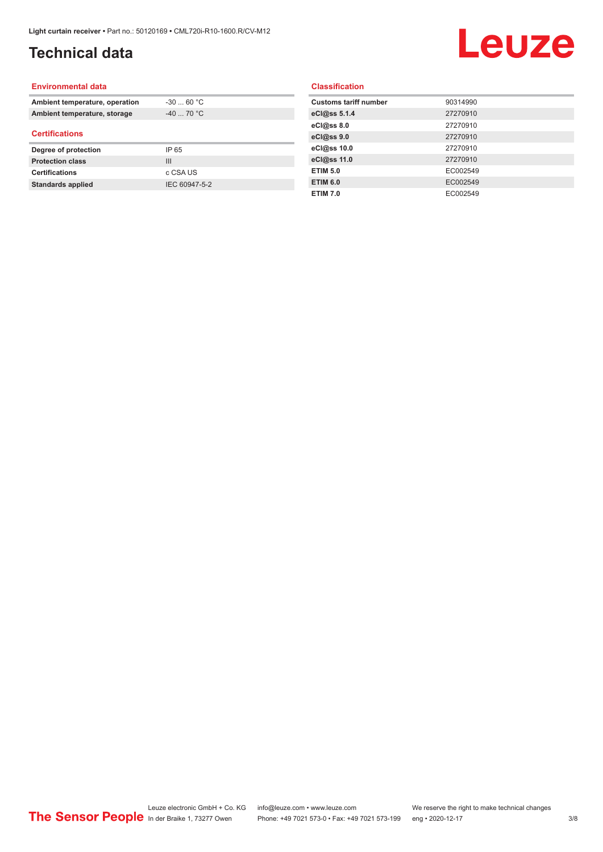## **Technical data**

# Leuze

#### **Environmental data**

| Ambient temperature, operation | $-30$ 60 °C    |  |
|--------------------------------|----------------|--|
| Ambient temperature, storage   | $-40$ 70 °C    |  |
| <b>Certifications</b>          |                |  |
| Degree of protection           | IP 65          |  |
| <b>Protection class</b>        | $\mathbf{III}$ |  |
| <b>Certifications</b>          | c CSA US       |  |
| <b>Standards applied</b>       | IEC 60947-5-2  |  |

#### **Classification**

| <b>Customs tariff number</b> | 90314990 |
|------------------------------|----------|
| eCl@ss 5.1.4                 | 27270910 |
| eCl@ss 8.0                   | 27270910 |
| eCl@ss 9.0                   | 27270910 |
| eCl@ss 10.0                  | 27270910 |
| eCl@ss 11.0                  | 27270910 |
| <b>ETIM 5.0</b>              | EC002549 |
| <b>ETIM 6.0</b>              | EC002549 |
| <b>ETIM 7.0</b>              | EC002549 |
|                              |          |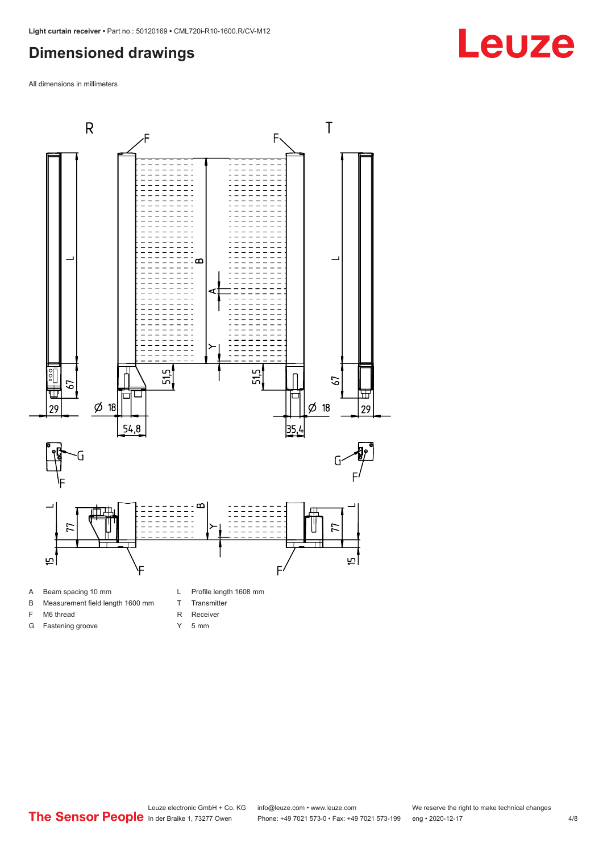#### <span id="page-3-0"></span>**Dimensioned drawings**

All dimensions in millimeters



- A Beam spacing 10 mm
- B Measurement field length 1600 mm
- F M6 thread
- G Fastening groove
- 
- T Transmitter
- R Receiver
- Y 5 mm

# **Leuze**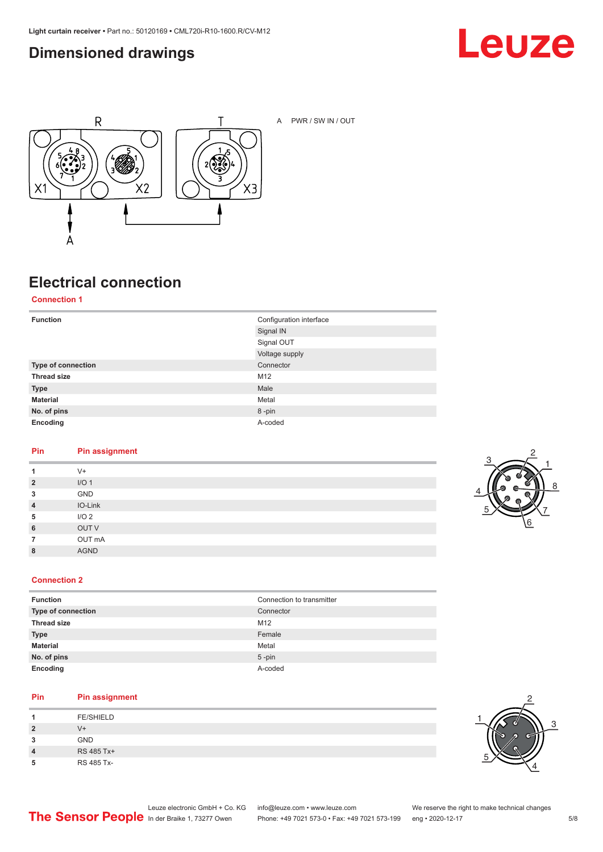### <span id="page-4-0"></span>**Dimensioned drawings**





A PWR / SW IN / OUT

## **Electrical connection**

**Connection 1**

| <b>Function</b>    | Configuration interface |
|--------------------|-------------------------|
|                    | Signal IN               |
|                    | Signal OUT              |
|                    | Voltage supply          |
| Type of connection | Connector               |
| <b>Thread size</b> | M12                     |
| <b>Type</b>        | Male                    |
| <b>Material</b>    | Metal                   |
| No. of pins        | 8-pin                   |
| Encoding           | A-coded                 |

#### **Pin Pin assignment**

| 1              | $V +$            |
|----------------|------------------|
| $\overline{2}$ | I/O <sub>1</sub> |
| 3              | GND              |
| $\overline{4}$ | IO-Link          |
| 5              | I/O <sub>2</sub> |
| 6              | OUT V            |
| 7              | OUT mA           |
| 8              | <b>AGND</b>      |
|                |                  |



#### **Connection 2**

| <b>Function</b>    | Connection to transmitter |
|--------------------|---------------------------|
| Type of connection | Connector                 |
| <b>Thread size</b> | M12                       |
| <b>Type</b>        | Female                    |
| <b>Material</b>    | Metal                     |
| No. of pins        | $5$ -pin                  |
| Encoding           | A-coded                   |

#### **Pin Pin assignment**

| л              | <b>FE/SHIELD</b> |
|----------------|------------------|
| $\overline{2}$ | V+               |
| 3              | <b>GND</b>       |
| 4              | RS 485 Tx+       |
| 5              | RS 485 Tx-       |

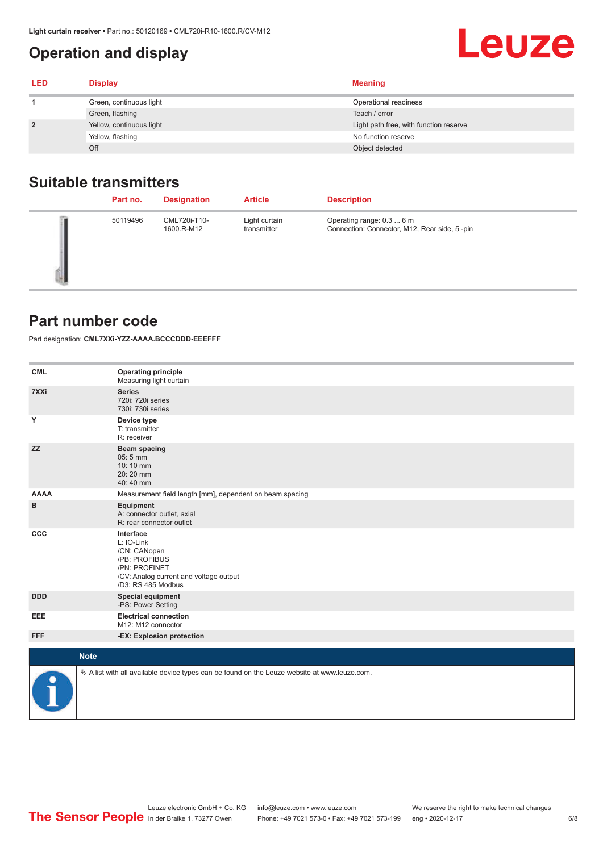## <span id="page-5-0"></span>**Operation and display**

| <b>LED</b>     | <b>Display</b>           | <b>Meaning</b>                         |
|----------------|--------------------------|----------------------------------------|
|                | Green, continuous light  | Operational readiness                  |
|                | Green, flashing          | Teach / error                          |
| $\overline{2}$ | Yellow, continuous light | Light path free, with function reserve |
|                | Yellow, flashing         | No function reserve                    |
|                | Off                      | Object detected                        |

#### **Suitable transmitters**

| Part no. | <b>Designation</b>         | <b>Article</b>               | <b>Description</b>                                                        |
|----------|----------------------------|------------------------------|---------------------------------------------------------------------------|
| 50119496 | CML720i-T10-<br>1600.R-M12 | Light curtain<br>transmitter | Operating range: 0.3  6 m<br>Connection: Connector, M12, Rear side, 5-pin |

#### **Part number code**

Part designation: **CML7XXi-YZZ-AAAA.BCCCDDD-EEEFFF**

| <b>CML</b>           | <b>Operating principle</b><br>Measuring light curtain                                                                                     |
|----------------------|-------------------------------------------------------------------------------------------------------------------------------------------|
| 7XXi                 | <b>Series</b><br>720i: 720i series<br>730i: 730i series                                                                                   |
| Y                    | Device type<br>T: transmitter<br>R: receiver                                                                                              |
| <b>ZZ</b>            | <b>Beam spacing</b><br>05:5 mm<br>10:10 mm<br>20:20 mm<br>40:40 mm                                                                        |
| <b>AAAA</b>          | Measurement field length [mm], dependent on beam spacing                                                                                  |
| в                    | Equipment<br>A: connector outlet, axial<br>R: rear connector outlet                                                                       |
| CCC                  | Interface<br>L: IO-Link<br>/CN: CANopen<br>/PB: PROFIBUS<br>/PN: PROFINET<br>/CV: Analog current and voltage output<br>/D3: RS 485 Modbus |
| <b>DDD</b>           | <b>Special equipment</b><br>-PS: Power Setting                                                                                            |
| <b>EEE</b>           | <b>Electrical connection</b><br>M12: M12 connector                                                                                        |
| <b>FFF</b>           | -EX: Explosion protection                                                                                                                 |
| <b>Note</b>          |                                                                                                                                           |
|                      |                                                                                                                                           |
| $\ddot{\phantom{1}}$ | $\&$ A list with all available device types can be found on the Leuze website at www.leuze.com.                                           |

**Leuze**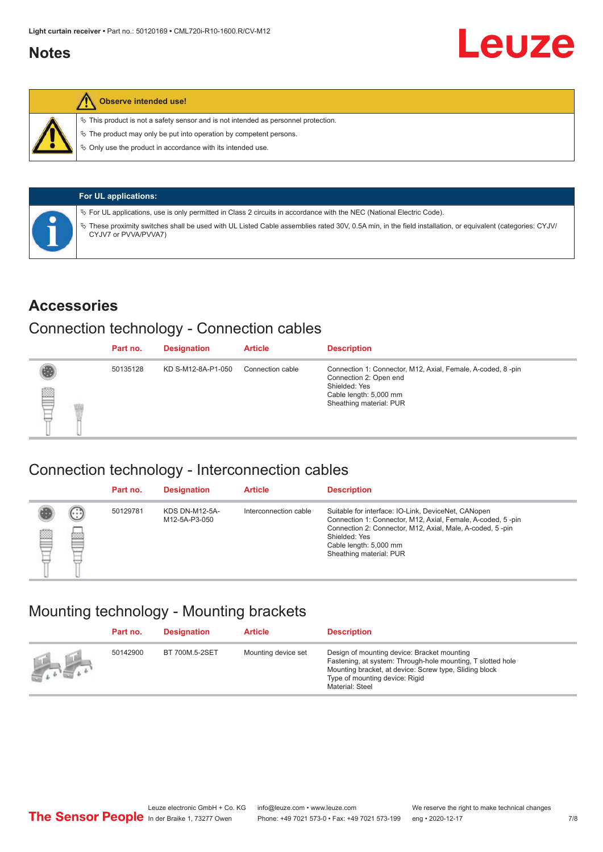#### <span id="page-6-0"></span>**Notes**



#### **Observe intended use!**

 $\%$  This product is not a safety sensor and is not intended as personnel protection.

 $\%$  The product may only be put into operation by competent persons.

 $\%$  Only use the product in accordance with its intended use.

| <b>For UL applications:</b>                                                                                                                                                     |
|---------------------------------------------------------------------------------------------------------------------------------------------------------------------------------|
| $\%$ For UL applications, use is only permitted in Class 2 circuits in accordance with the NEC (National Electric Code).                                                        |
| These proximity switches shall be used with UL Listed Cable assemblies rated 30V, 0.5A min, in the field installation, or equivalent (categories: CYJV/<br>CYJV7 or PVVA/PVVA7) |

#### **Accessories**

#### Connection technology - Connection cables

|   | Part no. | <b>Designation</b> | <b>Article</b>   | <b>Description</b>                                                                                                                                          |
|---|----------|--------------------|------------------|-------------------------------------------------------------------------------------------------------------------------------------------------------------|
| ₿ | 50135128 | KD S-M12-8A-P1-050 | Connection cable | Connection 1: Connector, M12, Axial, Female, A-coded, 8-pin<br>Connection 2: Open end<br>Shielded: Yes<br>Cable length: 5,000 mm<br>Sheathing material: PUR |

#### Connection technology - Interconnection cables

|   |                   | Part no. | <b>Designation</b>                     | <b>Article</b>        | <b>Description</b>                                                                                                                                                                                                                                    |
|---|-------------------|----------|----------------------------------------|-----------------------|-------------------------------------------------------------------------------------------------------------------------------------------------------------------------------------------------------------------------------------------------------|
| e | $(\cdot$ : :<br>Þ | 50129781 | <b>KDS DN-M12-5A-</b><br>M12-5A-P3-050 | Interconnection cable | Suitable for interface: IO-Link, DeviceNet, CANopen<br>Connection 1: Connector, M12, Axial, Female, A-coded, 5-pin<br>Connection 2: Connector, M12, Axial, Male, A-coded, 5-pin<br>Shielded: Yes<br>Cable length: 5,000 mm<br>Sheathing material: PUR |

#### Mounting technology - Mounting brackets

|               | Part no. | <b>Designation</b> | <b>Article</b>      | <b>Description</b>                                                                                                                                                                                                        |
|---------------|----------|--------------------|---------------------|---------------------------------------------------------------------------------------------------------------------------------------------------------------------------------------------------------------------------|
| $\frac{1}{2}$ | 50142900 | BT 700M.5-2SET     | Mounting device set | Design of mounting device: Bracket mounting<br>Fastening, at system: Through-hole mounting, T slotted hole<br>Mounting bracket, at device: Screw type, Sliding block<br>Type of mounting device: Rigid<br>Material: Steel |

Leuze